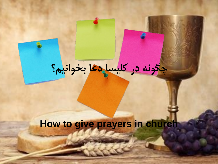# **چگونه در کلیسا دعا بخوانیم؟**

# **How to give prayers in church**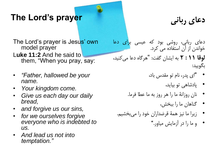#### **The Lord's prayer**

**دعای ربانی**

The Lord's prayer is Jesus' own model prayer

- L**uke 11:2** And he said to them, "When you pray, say:
- *"Father, hallowed be your name.*
- *Your kingdom come.*
- *Give us each day our daily bread,*
- *and forgive us our sins,*
- *for we ourselves forgive everyone who is indebted to us.*
- *And lead us not into temptation."*

دعای ربانی، روشی بود که عیسی برای دعا خواندن از آن استفاده می کرد. "هرگاه دعا می کنید، **لوقا 11 : 2** به ایشان گفت: بگویید:

- "ای پدر، نام تو مقدس باد،
	- پادشاهی تو بیاید،
- نان روزانۀ ما را هر روز به ما عطا فرما.
	- گناهان ما را ببخش،
- زیرا ما نیز همۀ قرضداران خود را می بخشیم.
	- و ما را در آزمایش میاور."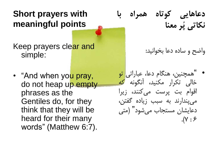### **Short prayers with meaningful points**

Keep prayers clear and simple:

• "And when you pray, do not heap up empty phrases as the Gentiles do, for they think that they will be heard for their many words" (Matthew 6:7).

**دعاهایی کوتاه همراه با نکاتی پُر معنا**

واضح و ساده دعا بخوانید:

همچنین، هنگام دعا، عباراتی تو " • خالی تکرار مکنید، آنگونه که اقوام بت پرست می کنند، زیرا می پندارند به سبب زیاده گفتن، دعایشان مستجاب می شود" )متی  $.(\vee : \mathcal{F})$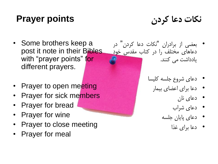# **Prayer points**

**نکات دعا کردن**

- Some brothers keep a post it note in their Bibles with "prayer points" for different prayers.
- Prayer to open meeting
- Prayer for sick members
- Prayer for bread
- Prayer for wine
- Prayer to close meeting
- Prayer for meal
- در بعضی از برادران "نکات دعا کردن" دعاهای مختلف را در کتاب مقدس خود یادداشت می کنند.
	- دعای شروع جلسه کلیسا
		- دعا برای اعضای بیمار
			- دعای نان
			- دعای شراب
			- دعای پایان جلسه
				- دعا برای غذا